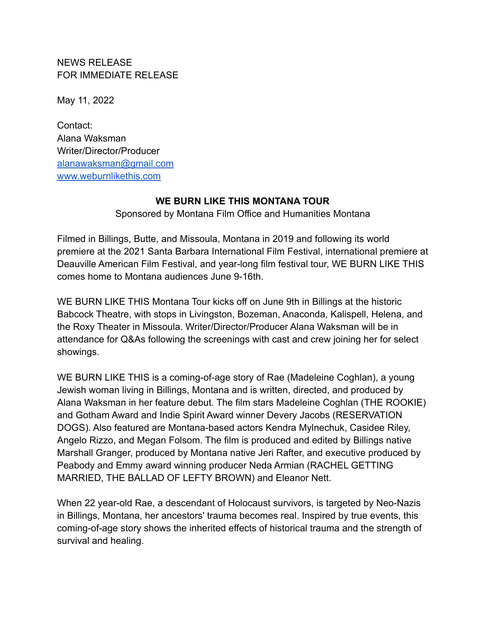NEWS RELEASE FOR IMMEDIATE RELEASE

May 11, 2022

Contact: Alana Waksman Writer/Director/Producer [alanawaksman@gmail.com](mailto:alanawaksman@gmail.com) [www.weburnlikethis.com](http://www.weburnlikethis.com)

## **WE BURN LIKE THIS MONTANA TOUR**

Sponsored by Montana Film Office and Humanities Montana

Filmed in Billings, Butte, and Missoula, Montana in 2019 and following its world premiere at the 2021 Santa Barbara International Film Festival, international premiere at Deauville American Film Festival, and year-long film festival tour, WE BURN LIKE THIS comes home to Montana audiences June 9-16th.

WE BURN LIKE THIS Montana Tour kicks off on June 9th in Billings at the historic Babcock Theatre, with stops in Livingston, Bozeman, Anaconda, Kalispell, Helena, and the Roxy Theater in Missoula. Writer/Director/Producer Alana Waksman will be in attendance for Q&As following the screenings with cast and crew joining her for select showings.

WE BURN LIKE THIS is a coming-of-age story of Rae (Madeleine Coghlan), a young Jewish woman living in Billings, Montana and is written, directed, and produced by Alana Waksman in her feature debut. The film stars Madeleine Coghlan (THE ROOKIE) and Gotham Award and Indie Spirit Award winner Devery Jacobs (RESERVATION DOGS). Also featured are Montana-based actors Kendra Mylnechuk, Casidee Riley, Angelo Rizzo, and Megan Folsom. The film is produced and edited by Billings native Marshall Granger, produced by Montana native Jeri Rafter, and executive produced by Peabody and Emmy award winning producer Neda Armian (RACHEL GETTING MARRIED, THE BALLAD OF LEFTY BROWN) and Eleanor Nett.

When 22 year-old Rae, a descendant of Holocaust survivors, is targeted by Neo-Nazis in Billings, Montana, her ancestors' trauma becomes real. Inspired by true events, this coming-of-age story shows the inherited effects of historical trauma and the strength of survival and healing.